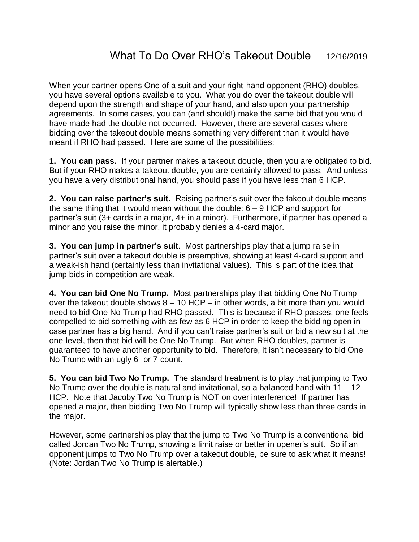When your partner opens One of a suit and your right-hand opponent (RHO) doubles, you have several options available to you. What you do over the takeout double will depend upon the strength and shape of your hand, and also upon your partnership agreements. In some cases, you can (and should!) make the same bid that you would have made had the double not occurred. However, there are several cases where bidding over the takeout double means something very different than it would have meant if RHO had passed. Here are some of the possibilities:

**1. You can pass.** If your partner makes a takeout double, then you are obligated to bid. But if your RHO makes a takeout double, you are certainly allowed to pass. And unless you have a very distributional hand, you should pass if you have less than 6 HCP.

**2. You can raise partner's suit.** Raising partner's suit over the takeout double means the same thing that it would mean without the double:  $6 - 9$  HCP and support for partner's suit (3+ cards in a major, 4+ in a minor). Furthermore, if partner has opened a minor and you raise the minor, it probably denies a 4-card major.

**3. You can jump in partner's suit.** Most partnerships play that a jump raise in partner's suit over a takeout double is preemptive, showing at least 4-card support and a weak-ish hand (certainly less than invitational values). This is part of the idea that jump bids in competition are weak.

**4. You can bid One No Trump.** Most partnerships play that bidding One No Trump over the takeout double shows  $8 - 10$  HCP – in other words, a bit more than you would need to bid One No Trump had RHO passed. This is because if RHO passes, one feels compelled to bid something with as few as 6 HCP in order to keep the bidding open in case partner has a big hand. And if you can't raise partner's suit or bid a new suit at the one-level, then that bid will be One No Trump. But when RHO doubles, partner is guaranteed to have another opportunity to bid. Therefore, it isn't necessary to bid One No Trump with an ugly 6- or 7-count.

**5. You can bid Two No Trump.** The standard treatment is to play that jumping to Two No Trump over the double is natural and invitational, so a balanced hand with  $11 - 12$ HCP. Note that Jacoby Two No Trump is NOT on over interference! If partner has opened a major, then bidding Two No Trump will typically show less than three cards in the major.

However, some partnerships play that the jump to Two No Trump is a conventional bid called Jordan Two No Trump, showing a limit raise or better in opener's suit. So if an opponent jumps to Two No Trump over a takeout double, be sure to ask what it means! (Note: Jordan Two No Trump is alertable.)